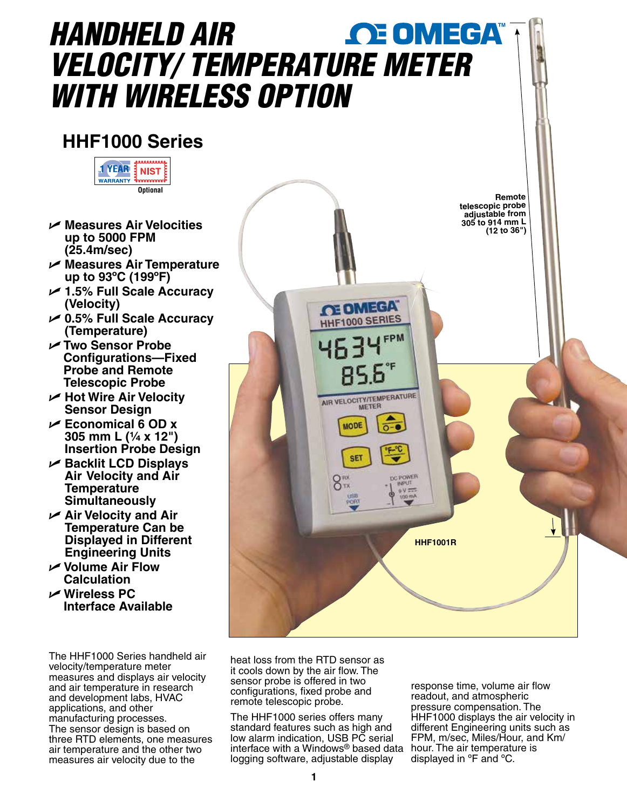# *HANDHELD AIR*  **OE OMEGA** *VELOCITY/ TEMPERAT[URE METER](www.omega.com)  WITH WIRELESS OPTION*

## **HHF1000 Series**



- U **Measures Air Velocities up to 5000 FPM (25.4m/sec)**
- U **Measures Air Temperature up to 93ºC (199ºF)**
- U **1.5% Full Scale Accuracy (Velocity)**
- U **0.5% Full Scale Accuracy (Temperature)**
- U **Two Sensor Probe Configurations—Fixed Probe and Remote Telescopic Probe**
- U **Hot Wire Air Velocity Sensor Design**
- U **Economical 6 OD x 305 mm L (¹⁄₄ x 12") Insertion Probe Design**
- U **Backlit LCD Displays Air Velocity and Air Temperature Simultaneously**
- U **Air Velocity and Air Temperature Can be Displayed in Different Engineering Units**
- U **Volume Air Flow Calculation**
- U **Wireless PC Interface Available**

The HHF1000 Series handheld air velocity/temperature meter measures and displays air velocity and air temperature in research and development labs, HVAC applications, and other manufacturing processes. The sensor design is based on three RTD elements, one measures air temperature and the other two measures air velocity due to the



heat loss from the RTD sensor as it cools down by the air flow. The sensor probe is offered in two configurations, fixed probe and remote telescopic probe.

The HHF1000 series offers many standard features such as high and low alarm indication, USB PC serial interface with a Windows® based data hour. The air temperature is logging software, adjustable display

response time, volume air flow readout, and atmospheric pressure compensation. The HHF1000 displays the air velocity in different Engineering units such as FPM, m/sec, Miles/Hour, and Km/ displayed in ºF and ºC.